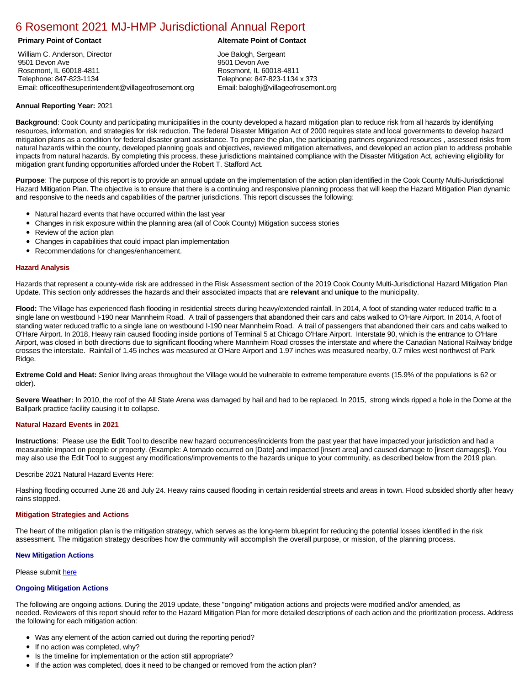# [6 Rosemont 2021 MJ-HMP Jurisdictional Annual Report](https://rosemont.isc-cemp.com/Cemp/Details?id=8322904)

William C. Anderson, Director 9501 Devon Ave Rosemont, IL 60018-4811 Telephone: 847-823-1134 Email: officeofthesuperintendent@villageofrosemont.org

# **Primary Point of Contact Alternate Point of Contact**

Joe Balogh, Sergeant 9501 Devon Ave Rosemont, IL 60018-4811 Telephone: 847-823-1134 x 373 Email: baloghj@villageofrosemont.org

# **Annual Reporting Year:** 2021

**Background**: Cook County and participating municipalities in the county developed a hazard mitigation plan to reduce risk from all hazards by identifying resources, information, and strategies for risk reduction. The federal Disaster Mitigation Act of 2000 requires state and local governments to develop hazard mitigation plans as a condition for federal disaster grant assistance. To prepare the plan, the participating partners organized resources , assessed risks from natural hazards within the county, developed planning goals and objectives, reviewed mitigation alternatives, and developed an action plan to address probable impacts from natural hazards. By completing this process, these jurisdictions maintained compliance with the Disaster Mitigation Act, achieving eligibility for mitigation grant funding opportunities afforded under the Robert T. Stafford Act.

**Purpose**: The purpose of this report is to provide an annual update on the implementation of the action plan identified in the Cook County Multi-Jurisdictional Hazard Mitigation Plan. The objective is to ensure that there is a continuing and responsive planning process that will keep the Hazard Mitigation Plan dynamic and responsive to the needs and capabilities of the partner jurisdictions. This report discusses the following:

- Natural hazard events that have occurred within the last year
- $\bullet$ Changes in risk exposure within the planning area (all of Cook County) Mitigation success stories
- Review of the action plan  $\bullet$
- $\bullet$ Changes in capabilities that could impact plan implementation
- Recommendations for changes/enhancement.  $\bullet$

# **Hazard Analysis**

Hazards that represent a county-wide risk are addressed in the Risk Assessment section of the 2019 Cook County Multi-Jurisdictional Hazard Mitigation Plan Update. This section only addresses the hazards and their associated impacts that are **relevant** and **unique** to the municipality.

Flood: The Village has experienced flash flooding in residential streets during heavy/extended rainfall. In 2014, A foot of standing water reduced traffic to a single lane on westbound I-190 near Mannheim Road. A trail of passengers that abandoned their cars and cabs walked to O'Hare Airport. In 2014, A foot of standing water reduced traffic to a single lane on westbound I-190 near Mannheim Road. A trail of passengers that abandoned their cars and cabs walked to O'Hare Airport. In 2018, Heavy rain caused flooding inside portions of Terminal 5 at Chicago O'Hare Airport. Interstate 90, which is the entrance to O'Hare Airport, was closed in both directions due to significant flooding where Mannheim Road crosses the interstate and where the Canadian National Railway bridge crosses the interstate. Rainfall of 1.45 inches was measured at O'Hare Airport and 1.97 inches was measured nearby, 0.7 miles west northwest of Park Ridge.

**Extreme Cold and Heat:** Senior living areas throughout the Village would be vulnerable to extreme temperature events (15.9% of the populations is 62 or older).

Severe Weather: In 2010, the roof of the All State Arena was damaged by hail and had to be replaced. In 2015, strong winds ripped a hole in the Dome at the Ballpark practice facility causing it to collapse.

# **Natural Hazard Events in 2021**

**Instructions**: Please use the **Edit** Tool to describe new hazard occurrences/incidents from the past year that have impacted your jurisdiction and had a measurable impact on people or property. (Example: A tornado occurred on [Date] and impacted [insert area] and caused damage to [insert damages]). You may also use the Edit Tool to suggest any modifications/improvements to the hazards unique to your community, as described below from the 2019 plan.

Describe 2021 Natural Hazard Events Here:

Flashing flooding occurred June 26 and July 24. Heavy rains caused flooding in certain residential streets and areas in town. Flood subsided shortly after heavy rains stopped.

# **Mitigation Strategies and Actions**

The heart of the mitigation plan is the mitigation strategy, which serves as the long-term blueprint for reducing the potential losses identified in the risk assessment. The mitigation strategy describes how the community will accomplish the overall purpose, or mission, of the planning process.

# **New Mitigation Actions**

Please submit [here](https://integratedsolutions.wufoo.com/forms/mg21jvf0jn639o/)

# **Ongoing Mitigation Actions**

The following are ongoing actions. During the 2019 update, these "ongoing" mitigation actions and projects were modified and/or amended, as needed. Reviewers of this report should refer to the Hazard Mitigation Plan for more detailed descriptions of each action and the prioritization process. Address the following for each mitigation action:

- Was any element of the action carried out during the reporting period?
- If no action was completed, why?
- **•** Is the timeline for implementation or the action still appropriate?
- If the action was completed, does it need to be changed or removed from the action plan?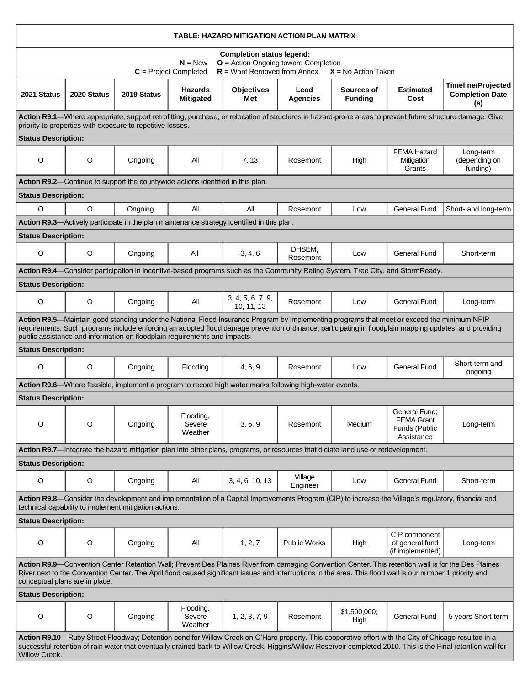| TABLE: HAZARD MITIGATION ACTION PLAN MATRIX                                                                                                                                                                                                                                                                                                                                        |             |             |                                    |                                                                                                                                   |                         |                              |                                                                                                                                |                                                            |  |  |  |  |
|------------------------------------------------------------------------------------------------------------------------------------------------------------------------------------------------------------------------------------------------------------------------------------------------------------------------------------------------------------------------------------|-------------|-------------|------------------------------------|-----------------------------------------------------------------------------------------------------------------------------------|-------------------------|------------------------------|--------------------------------------------------------------------------------------------------------------------------------|------------------------------------------------------------|--|--|--|--|
| <b>Completion status legend:</b><br>$O =$ Action Ongoing toward Completion<br>$N = New$<br>$R =$ Want Removed from Annex<br>$C = Project Completed$<br>$X = No$ Action Taken                                                                                                                                                                                                       |             |             |                                    |                                                                                                                                   |                         |                              |                                                                                                                                |                                                            |  |  |  |  |
| 2021 Status                                                                                                                                                                                                                                                                                                                                                                        | 2020 Status | 2019 Status | <b>Hazards</b><br><b>Mitigated</b> | <b>Objectives</b><br>Met                                                                                                          | Lead<br><b>Agencies</b> | Sources of<br><b>Funding</b> | <b>Estimated</b><br>Cost                                                                                                       | <b>Timeline/Projected</b><br><b>Completion Date</b><br>(a) |  |  |  |  |
| Action R9.1—Where appropriate, support retrofitting, purchase, or relocation of structures in hazard-prone areas to prevent future structure damage. Give<br>priority to properties with exposure to repetitive losses.                                                                                                                                                            |             |             |                                    |                                                                                                                                   |                         |                              |                                                                                                                                |                                                            |  |  |  |  |
| <b>Status Description:</b>                                                                                                                                                                                                                                                                                                                                                         |             |             |                                    |                                                                                                                                   |                         |                              |                                                                                                                                |                                                            |  |  |  |  |
| $\circ$                                                                                                                                                                                                                                                                                                                                                                            | $\circ$     | Ongoing     | All                                | 7, 13                                                                                                                             | Rosemont                | High                         | <b>FEMA Hazard</b><br>Mitigation<br>Grants                                                                                     | Long-term<br>(depending on<br>funding)                     |  |  |  |  |
| Action R9.2—Continue to support the countywide actions identified in this plan.                                                                                                                                                                                                                                                                                                    |             |             |                                    |                                                                                                                                   |                         |                              |                                                                                                                                |                                                            |  |  |  |  |
| <b>Status Description:</b>                                                                                                                                                                                                                                                                                                                                                         |             |             |                                    |                                                                                                                                   |                         |                              |                                                                                                                                |                                                            |  |  |  |  |
| $\circ$                                                                                                                                                                                                                                                                                                                                                                            | $\circ$     | Ongoing     | All                                | All                                                                                                                               | Rosemont                | Low                          | <b>General Fund</b>                                                                                                            | Short- and long-term                                       |  |  |  |  |
|                                                                                                                                                                                                                                                                                                                                                                                    |             |             |                                    | Action R9.3-Actively participate in the plan maintenance strategy identified in this plan.                                        |                         |                              |                                                                                                                                |                                                            |  |  |  |  |
| <b>Status Description:</b>                                                                                                                                                                                                                                                                                                                                                         |             |             |                                    |                                                                                                                                   |                         |                              |                                                                                                                                |                                                            |  |  |  |  |
| $\circ$                                                                                                                                                                                                                                                                                                                                                                            | $\circ$     | Ongoing     | All                                | 3, 4, 6                                                                                                                           | DHSEM,<br>Rosemont      | Low                          | <b>General Fund</b>                                                                                                            | Short-term                                                 |  |  |  |  |
|                                                                                                                                                                                                                                                                                                                                                                                    |             |             |                                    |                                                                                                                                   |                         |                              | Action R9.4—Consider participation in incentive-based programs such as the Community Rating System, Tree City, and StormReady. |                                                            |  |  |  |  |
| <b>Status Description:</b>                                                                                                                                                                                                                                                                                                                                                         |             |             |                                    |                                                                                                                                   |                         |                              |                                                                                                                                |                                                            |  |  |  |  |
| $\circ$                                                                                                                                                                                                                                                                                                                                                                            | $\circ$     | Ongoing     | All                                | 3, 4, 5, 6, 7, 9,<br>10, 11, 13                                                                                                   | Rosemont                | Low                          | <b>General Fund</b>                                                                                                            | Long-term                                                  |  |  |  |  |
| Action R9.5-Maintain good standing under the National Flood Insurance Program by implementing programs that meet or exceed the minimum NFIP<br>requirements. Such programs include enforcing an adopted flood damage prevention ordinance, participating in floodplain mapping updates, and providing<br>public assistance and information on floodplain requirements and impacts. |             |             |                                    |                                                                                                                                   |                         |                              |                                                                                                                                |                                                            |  |  |  |  |
| <b>Status Description:</b>                                                                                                                                                                                                                                                                                                                                                         |             |             |                                    |                                                                                                                                   |                         |                              |                                                                                                                                |                                                            |  |  |  |  |
| $\circ$                                                                                                                                                                                                                                                                                                                                                                            | O           | Ongoing     | Flooding                           | 4, 6, 9                                                                                                                           | Rosemont                | Low                          | <b>General Fund</b>                                                                                                            | Short-term and<br>ongoing                                  |  |  |  |  |
|                                                                                                                                                                                                                                                                                                                                                                                    |             |             |                                    | Action R9.6—Where feasible, implement a program to record high water marks following high-water events.                           |                         |                              |                                                                                                                                |                                                            |  |  |  |  |
| <b>Status Description:</b>                                                                                                                                                                                                                                                                                                                                                         |             |             |                                    |                                                                                                                                   |                         |                              |                                                                                                                                |                                                            |  |  |  |  |
| O                                                                                                                                                                                                                                                                                                                                                                                  | $\circ$     | Ongoing     | Flooding,<br>Severe<br>Weather     | 3, 6, 9                                                                                                                           | Rosemont                | Medium                       | General Fund;<br><b>FEMA Grant</b><br>Funds (Public<br>Assistance                                                              | Long-term                                                  |  |  |  |  |
|                                                                                                                                                                                                                                                                                                                                                                                    |             |             |                                    | Action R9.7-Integrate the hazard mitigation plan into other plans, programs, or resources that dictate land use or redevelopment. |                         |                              |                                                                                                                                |                                                            |  |  |  |  |
| <b>Status Description:</b>                                                                                                                                                                                                                                                                                                                                                         |             |             |                                    |                                                                                                                                   |                         |                              |                                                                                                                                |                                                            |  |  |  |  |
| O                                                                                                                                                                                                                                                                                                                                                                                  | O           | Ongoing     | All                                | 3, 4, 6, 10, 13                                                                                                                   | Village<br>Engineer     | Low                          | <b>General Fund</b>                                                                                                            | Short-term                                                 |  |  |  |  |
| Action R9.8—Consider the development and implementation of a Capital Improvements Program (CIP) to increase the Village's regulatory, financial and<br>technical capability to implement mitigation actions.                                                                                                                                                                       |             |             |                                    |                                                                                                                                   |                         |                              |                                                                                                                                |                                                            |  |  |  |  |
| <b>Status Description:</b>                                                                                                                                                                                                                                                                                                                                                         |             |             |                                    |                                                                                                                                   |                         |                              |                                                                                                                                |                                                            |  |  |  |  |
| O                                                                                                                                                                                                                                                                                                                                                                                  | O           | Ongoing     | All                                | 1, 2, 7                                                                                                                           | <b>Public Works</b>     | High                         | CIP component<br>of general fund<br>(if implemented)                                                                           | Long-term                                                  |  |  |  |  |
| Action R9.9—Convention Center Retention Wall; Prevent Des Plaines River from damaging Convention Center. This retention wall is for the Des Plaines<br>River next to the Convention Center. The April flood caused significant issues and interruptions in the area. This flood wall is our number 1 priority and<br>conceptual plans are in place.                                |             |             |                                    |                                                                                                                                   |                         |                              |                                                                                                                                |                                                            |  |  |  |  |
| <b>Status Description:</b>                                                                                                                                                                                                                                                                                                                                                         |             |             |                                    |                                                                                                                                   |                         |                              |                                                                                                                                |                                                            |  |  |  |  |
| O                                                                                                                                                                                                                                                                                                                                                                                  | O           | Ongoing     | Flooding,<br>Severe<br>Weather     | 1, 2, 3, 7, 9                                                                                                                     | Rosemont                | \$1,500,000;<br>High         | <b>General Fund</b>                                                                                                            | 5 years Short-term                                         |  |  |  |  |
| Action R9.10-Ruby Street Floodway; Detention pond for Willow Creek on O'Hare property. This cooperative effort with the City of Chicago resulted in a<br>successful retention of rain water that eventually drained back to Willow Creek. Higgins/Willow Reservoir completed 2010. This is the Final retention wall for<br>Willow Creek.                                           |             |             |                                    |                                                                                                                                   |                         |                              |                                                                                                                                |                                                            |  |  |  |  |